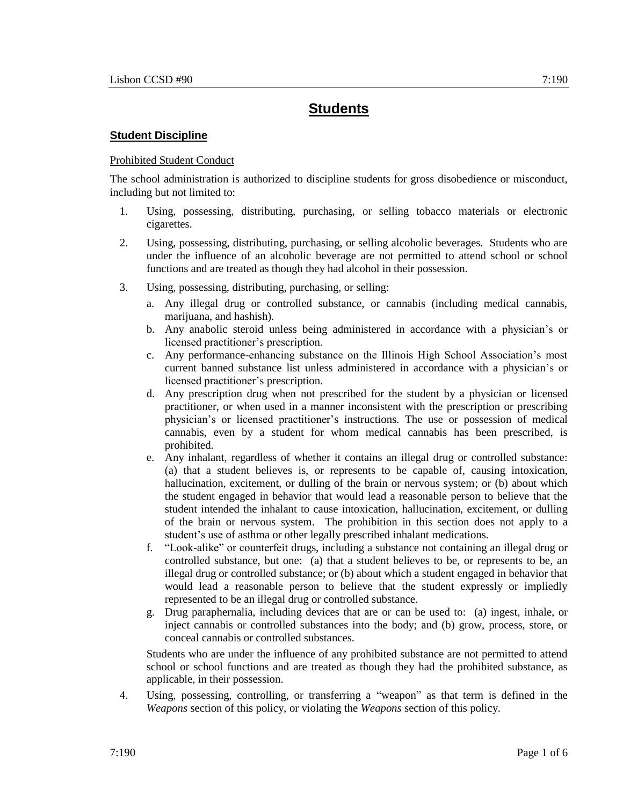# **Students**

## **Student Discipline**

## Prohibited Student Conduct

The school administration is authorized to discipline students for gross disobedience or misconduct, including but not limited to:

- 1. Using, possessing, distributing, purchasing, or selling tobacco materials or electronic cigarettes.
- 2. Using, possessing, distributing, purchasing, or selling alcoholic beverages. Students who are under the influence of an alcoholic beverage are not permitted to attend school or school functions and are treated as though they had alcohol in their possession.
- 3. Using, possessing, distributing, purchasing, or selling:
	- a. Any illegal drug or controlled substance, or cannabis (including medical cannabis, marijuana, and hashish).
	- b. Any anabolic steroid unless being administered in accordance with a physician's or licensed practitioner's prescription.
	- c. Any performance-enhancing substance on the Illinois High School Association's most current banned substance list unless administered in accordance with a physician's or licensed practitioner's prescription.
	- d. Any prescription drug when not prescribed for the student by a physician or licensed practitioner, or when used in a manner inconsistent with the prescription or prescribing physician's or licensed practitioner's instructions. The use or possession of medical cannabis, even by a student for whom medical cannabis has been prescribed, is prohibited.
	- e. Any inhalant, regardless of whether it contains an illegal drug or controlled substance: (a) that a student believes is, or represents to be capable of, causing intoxication, hallucination, excitement, or dulling of the brain or nervous system; or (b) about which the student engaged in behavior that would lead a reasonable person to believe that the student intended the inhalant to cause intoxication, hallucination, excitement, or dulling of the brain or nervous system. The prohibition in this section does not apply to a student's use of asthma or other legally prescribed inhalant medications.
	- f. "Look-alike" or counterfeit drugs, including a substance not containing an illegal drug or controlled substance, but one: (a) that a student believes to be, or represents to be, an illegal drug or controlled substance; or (b) about which a student engaged in behavior that would lead a reasonable person to believe that the student expressly or impliedly represented to be an illegal drug or controlled substance.
	- g. Drug paraphernalia, including devices that are or can be used to: (a) ingest, inhale, or inject cannabis or controlled substances into the body; and (b) grow, process, store, or conceal cannabis or controlled substances.

Students who are under the influence of any prohibited substance are not permitted to attend school or school functions and are treated as though they had the prohibited substance, as applicable, in their possession.

4. Using, possessing, controlling, or transferring a "weapon" as that term is defined in the *Weapons* section of this policy, or violating the *Weapons* section of this policy.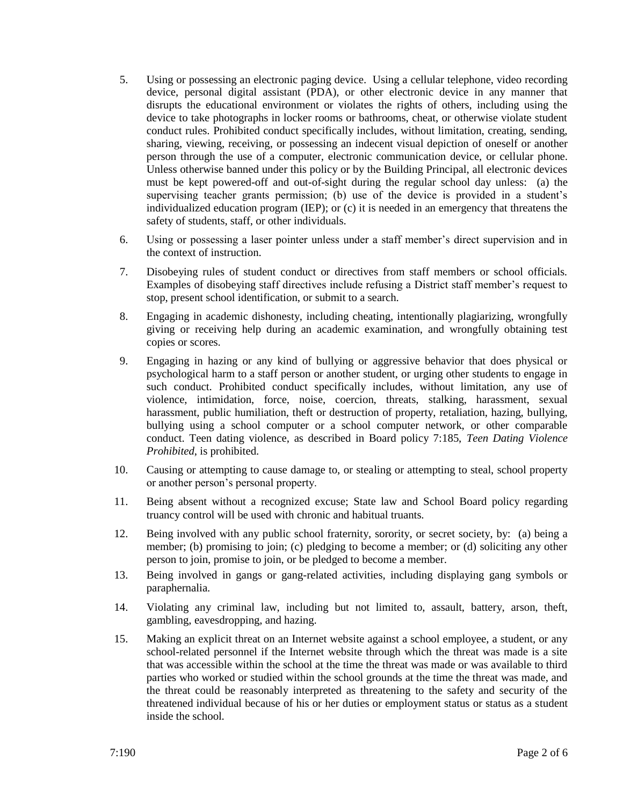- 5. Using or possessing an electronic paging device. Using a cellular telephone, video recording device, personal digital assistant (PDA), or other electronic device in any manner that disrupts the educational environment or violates the rights of others, including using the device to take photographs in locker rooms or bathrooms, cheat, or otherwise violate student conduct rules. Prohibited conduct specifically includes, without limitation, creating, sending, sharing, viewing, receiving, or possessing an indecent visual depiction of oneself or another person through the use of a computer, electronic communication device, or cellular phone. Unless otherwise banned under this policy or by the Building Principal, all electronic devices must be kept powered-off and out-of-sight during the regular school day unless: (a) the supervising teacher grants permission; (b) use of the device is provided in a student's individualized education program (IEP); or (c) it is needed in an emergency that threatens the safety of students, staff, or other individuals.
- 6. Using or possessing a laser pointer unless under a staff member's direct supervision and in the context of instruction.
- 7. Disobeying rules of student conduct or directives from staff members or school officials. Examples of disobeying staff directives include refusing a District staff member's request to stop, present school identification, or submit to a search.
- 8. Engaging in academic dishonesty, including cheating, intentionally plagiarizing, wrongfully giving or receiving help during an academic examination, and wrongfully obtaining test copies or scores.
- 9. Engaging in hazing or any kind of bullying or aggressive behavior that does physical or psychological harm to a staff person or another student, or urging other students to engage in such conduct. Prohibited conduct specifically includes, without limitation, any use of violence, intimidation, force, noise, coercion, threats, stalking, harassment, sexual harassment, public humiliation, theft or destruction of property, retaliation, hazing, bullying, bullying using a school computer or a school computer network, or other comparable conduct. Teen dating violence, as described in Board policy 7:185, *Teen Dating Violence Prohibited*, is prohibited.
- 10. Causing or attempting to cause damage to, or stealing or attempting to steal, school property or another person's personal property.
- 11. Being absent without a recognized excuse; State law and School Board policy regarding truancy control will be used with chronic and habitual truants.
- 12. Being involved with any public school fraternity, sorority, or secret society, by: (a) being a member; (b) promising to join; (c) pledging to become a member; or (d) soliciting any other person to join, promise to join, or be pledged to become a member.
- 13. Being involved in gangs or gang-related activities, including displaying gang symbols or paraphernalia.
- 14. Violating any criminal law, including but not limited to, assault, battery, arson, theft, gambling, eavesdropping, and hazing.
- 15. Making an explicit threat on an Internet website against a school employee, a student, or any school-related personnel if the Internet website through which the threat was made is a site that was accessible within the school at the time the threat was made or was available to third parties who worked or studied within the school grounds at the time the threat was made, and the threat could be reasonably interpreted as threatening to the safety and security of the threatened individual because of his or her duties or employment status or status as a student inside the school.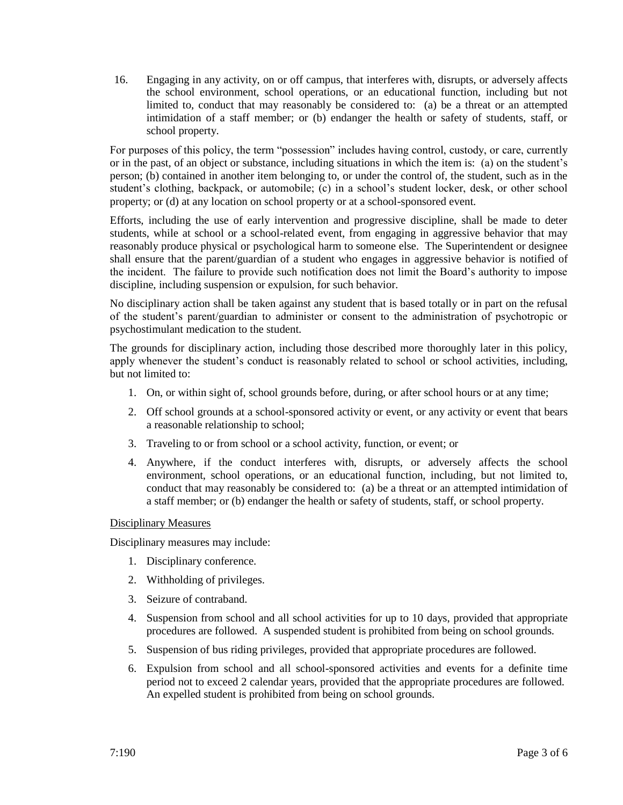16. Engaging in any activity, on or off campus, that interferes with, disrupts, or adversely affects the school environment, school operations, or an educational function, including but not limited to, conduct that may reasonably be considered to: (a) be a threat or an attempted intimidation of a staff member; or (b) endanger the health or safety of students, staff, or school property.

For purposes of this policy, the term "possession" includes having control, custody, or care, currently or in the past, of an object or substance, including situations in which the item is: (a) on the student's person; (b) contained in another item belonging to, or under the control of, the student, such as in the student's clothing, backpack, or automobile; (c) in a school's student locker, desk, or other school property; or (d) at any location on school property or at a school-sponsored event.

Efforts, including the use of early intervention and progressive discipline, shall be made to deter students, while at school or a school-related event, from engaging in aggressive behavior that may reasonably produce physical or psychological harm to someone else. The Superintendent or designee shall ensure that the parent/guardian of a student who engages in aggressive behavior is notified of the incident. The failure to provide such notification does not limit the Board's authority to impose discipline, including suspension or expulsion, for such behavior.

No disciplinary action shall be taken against any student that is based totally or in part on the refusal of the student's parent/guardian to administer or consent to the administration of psychotropic or psychostimulant medication to the student.

The grounds for disciplinary action, including those described more thoroughly later in this policy, apply whenever the student's conduct is reasonably related to school or school activities, including, but not limited to:

- 1. On, or within sight of, school grounds before, during, or after school hours or at any time;
- 2. Off school grounds at a school-sponsored activity or event, or any activity or event that bears a reasonable relationship to school;
- 3. Traveling to or from school or a school activity, function, or event; or
- 4. Anywhere, if the conduct interferes with, disrupts, or adversely affects the school environment, school operations, or an educational function, including, but not limited to, conduct that may reasonably be considered to: (a) be a threat or an attempted intimidation of a staff member; or (b) endanger the health or safety of students, staff, or school property.

## Disciplinary Measures

Disciplinary measures may include:

- 1. Disciplinary conference.
- 2. Withholding of privileges.
- 3. Seizure of contraband.
- 4. Suspension from school and all school activities for up to 10 days, provided that appropriate procedures are followed. A suspended student is prohibited from being on school grounds.
- 5. Suspension of bus riding privileges, provided that appropriate procedures are followed.
- 6. Expulsion from school and all school-sponsored activities and events for a definite time period not to exceed 2 calendar years, provided that the appropriate procedures are followed. An expelled student is prohibited from being on school grounds.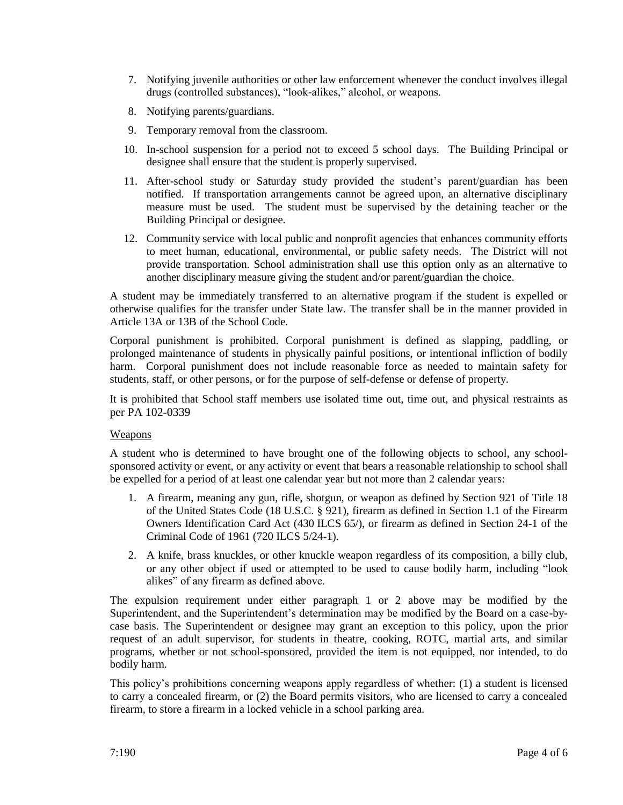- 7. Notifying juvenile authorities or other law enforcement whenever the conduct involves illegal drugs (controlled substances), "look-alikes," alcohol, or weapons.
- 8. Notifying parents/guardians.
- 9. Temporary removal from the classroom.
- 10. In-school suspension for a period not to exceed 5 school days. The Building Principal or designee shall ensure that the student is properly supervised.
- 11. After-school study or Saturday study provided the student's parent/guardian has been notified. If transportation arrangements cannot be agreed upon, an alternative disciplinary measure must be used. The student must be supervised by the detaining teacher or the Building Principal or designee.
- 12. Community service with local public and nonprofit agencies that enhances community efforts to meet human, educational, environmental, or public safety needs. The District will not provide transportation. School administration shall use this option only as an alternative to another disciplinary measure giving the student and/or parent/guardian the choice.

A student may be immediately transferred to an alternative program if the student is expelled or otherwise qualifies for the transfer under State law. The transfer shall be in the manner provided in Article 13A or 13B of the School Code.

Corporal punishment is prohibited. Corporal punishment is defined as slapping, paddling, or prolonged maintenance of students in physically painful positions, or intentional infliction of bodily harm. Corporal punishment does not include reasonable force as needed to maintain safety for students, staff, or other persons, or for the purpose of self-defense or defense of property.

It is prohibited that School staff members use isolated time out, time out, and physical restraints as per PA 102-0339

# **Weapons**

A student who is determined to have brought one of the following objects to school, any schoolsponsored activity or event, or any activity or event that bears a reasonable relationship to school shall be expelled for a period of at least one calendar year but not more than 2 calendar years:

- 1. A firearm, meaning any gun, rifle, shotgun, or weapon as defined by Section 921 of Title 18 of the United States Code (18 U.S.C. § 921), firearm as defined in Section 1.1 of the Firearm Owners Identification Card Act (430 ILCS 65/), or firearm as defined in Section 24-1 of the Criminal Code of 1961 (720 ILCS 5/24-1).
- 2. A knife, brass knuckles, or other knuckle weapon regardless of its composition, a billy club, or any other object if used or attempted to be used to cause bodily harm, including "look alikes" of any firearm as defined above.

The expulsion requirement under either paragraph 1 or 2 above may be modified by the Superintendent, and the Superintendent's determination may be modified by the Board on a case-bycase basis. The Superintendent or designee may grant an exception to this policy, upon the prior request of an adult supervisor, for students in theatre, cooking, ROTC, martial arts, and similar programs, whether or not school-sponsored, provided the item is not equipped, nor intended, to do bodily harm.

This policy's prohibitions concerning weapons apply regardless of whether: (1) a student is licensed to carry a concealed firearm, or (2) the Board permits visitors, who are licensed to carry a concealed firearm, to store a firearm in a locked vehicle in a school parking area.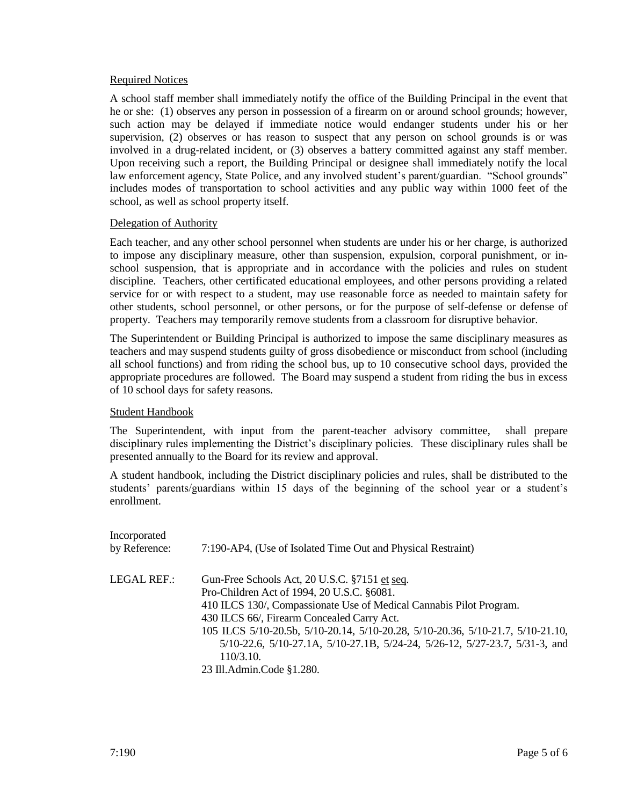### Required Notices

A school staff member shall immediately notify the office of the Building Principal in the event that he or she: (1) observes any person in possession of a firearm on or around school grounds; however, such action may be delayed if immediate notice would endanger students under his or her supervision, (2) observes or has reason to suspect that any person on school grounds is or was involved in a drug-related incident, or (3) observes a battery committed against any staff member. Upon receiving such a report, the Building Principal or designee shall immediately notify the local law enforcement agency, State Police, and any involved student's parent/guardian. "School grounds" includes modes of transportation to school activities and any public way within 1000 feet of the school, as well as school property itself.

### Delegation of Authority

Each teacher, and any other school personnel when students are under his or her charge, is authorized to impose any disciplinary measure, other than suspension, expulsion, corporal punishment, or inschool suspension, that is appropriate and in accordance with the policies and rules on student discipline. Teachers, other certificated educational employees, and other persons providing a related service for or with respect to a student, may use reasonable force as needed to maintain safety for other students, school personnel, or other persons, or for the purpose of self-defense or defense of property. Teachers may temporarily remove students from a classroom for disruptive behavior.

The Superintendent or Building Principal is authorized to impose the same disciplinary measures as teachers and may suspend students guilty of gross disobedience or misconduct from school (including all school functions) and from riding the school bus, up to 10 consecutive school days, provided the appropriate procedures are followed. The Board may suspend a student from riding the bus in excess of 10 school days for safety reasons.

#### Student Handbook

The Superintendent, with input from the parent-teacher advisory committee, shall prepare disciplinary rules implementing the District's disciplinary policies. These disciplinary rules shall be presented annually to the Board for its review and approval.

A student handbook, including the District disciplinary policies and rules, shall be distributed to the students' parents/guardians within 15 days of the beginning of the school year or a student's enrollment.

| Incorporated<br>by Reference: | 7:190-AP4, (Use of Isolated Time Out and Physical Restraint)                                                                                                                                                                                                                                                                                                                                                                 |
|-------------------------------|------------------------------------------------------------------------------------------------------------------------------------------------------------------------------------------------------------------------------------------------------------------------------------------------------------------------------------------------------------------------------------------------------------------------------|
| <b>LEGAL REF.:</b>            | Gun-Free Schools Act, 20 U.S.C. §7151 et seq.<br>Pro-Children Act of 1994, 20 U.S.C. §6081.<br>410 ILCS 130/, Compassionate Use of Medical Cannabis Pilot Program.<br>430 ILCS 66/, Firearm Concealed Carry Act.<br>105 ILCS 5/10-20.5b, 5/10-20.14, 5/10-20.28, 5/10-20.36, 5/10-21.7, 5/10-21.10,<br>5/10-22.6, 5/10-27.1A, 5/10-27.1B, 5/24-24, 5/26-12, 5/27-23.7, 5/31-3, and<br>110/3.10.<br>23 Ill.Admin.Code §1.280. |